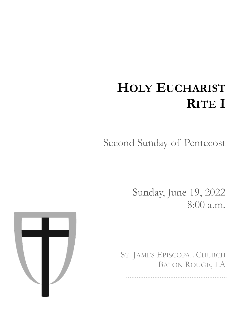# **HOLY EUCHARIST RITE I**

Second Sunday of Pentecost

Sunday, June 19, 2022 8:00 a.m.

ST. JAMES EPISCOPAL CHURCH BATON ROUGE, LA

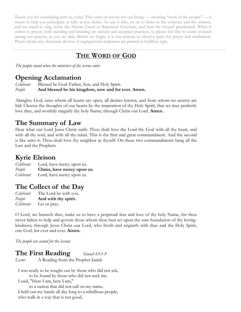Thank you for worshiping with us, today. This order of service for our liturgy — meaning "work of the people" — is meant to help you participate as fully as you desire. As one is able, we sit to listen to the scripture and the sermon, and we stand to sing, recite the Nicene Creed or Baptismal Covenant, and hear the Gospel proclaimed. When it comes to prayer, both standing and kneeling are ancient and accepted practices, so please feel free to stand or kneel during our prayers, as you are able. Before we begin, it is our custom to observe quiet for prayer and meditation. Please silence any electronic devices. Congregational responses are printed in boldface type.

#### **THE WORD OF GOD**

*The people stand when the ministers of the service enter*

#### **Opening Acclamation**

*Celebrant* Blessed be God: Father, Son, and Holy Spirit. *People* **And blessed be his kingdom, now and for ever. Amen.**

Almighty God, unto whom all hearts are open, all desires known, and from whom no secrets are hid: Cleanse the thoughts of our hearts by the inspiration of thy Holy Spirit, that we may perfectly love thee, and worthily magnify thy holy Name; through Christ our Lord. **Amen.**

#### **The Summary of Law**

Hear what our Lord Jesus Christ saith: Thou shalt love the Lord thy God with all thy heart, and with all thy soul, and with all thy mind. This is the first and great commandment. And the second is like unto it: Thou shalt love thy neighbor as thyself. On these two commandments hang all the Law and the Prophets.

#### **Kyrie Eleison**

*Celebrant* Lord, have mercy upon us. *People* **Christ, have mercy upon us.** *Celebrant* Lord, have mercy upon us.

#### **The Collect of the Day**

*Celebrant* The Lord be with you. *People* **And with thy spirit.** *Celebrant* Let us pray.

O Lord, we beseech thee, make us to have a perpetual fear and love of thy holy Name, for thou never failest to help and govern those whom thou hast set upon the sure foundation of thy lovingkindness; through Jesus Christ our Lord, who liveth and reigneth with thee and the Holy Spirit, one God, for ever and ever. **Amen.** 

*The people are seated for the lessons*

#### **The First Reading** *Isiaiah 65:1-9*

*Lector* A Reading from the Prophet Isaiah

I was ready to be sought out by those who did not ask, to be found by those who did not seek me. I said, "Here I am, here I am,"

to a nation that did not call on my name. I held out my hands all day long to a rebellious people, who walk in a way that is not good,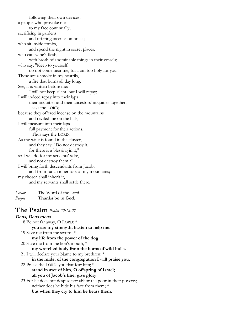following their own devices; a people who provoke me to my face continually, sacrificing in gardens and offering incense on bricks; who sit inside tombs, and spend the night in secret places; who eat swine's flesh, with broth of abominable things in their vessels; who say, "Keep to yourself, do not come near me, for I am too holy for you." These are a smoke in my nostrils, a fire that burns all day long. See, it is written before me: I will not keep silent, but I will repay; I will indeed repay into their laps their iniquities and their ancestors' iniquities together, says the LORD; because they offered incense on the mountains and reviled me on the hills, I will measure into their laps full payment for their actions. Thus says the LORD: As the wine is found in the cluster, and they say, "Do not destroy it, for there is a blessing in it," so I will do for my servants' sake, and not destroy them all. I will bring forth descendants from Jacob, and from Judah inheritors of my mountains; my chosen shall inherit it, and my servants shall settle there.

*Lector* The Word of the Lord. *People* **Thanks be to God.**

#### **The Psalm** *Psalm 22:18-27*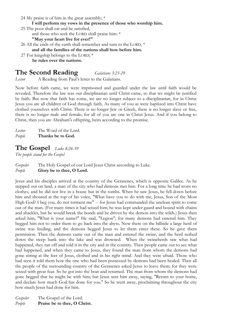- 24 My praise is of him in the great assembly; \*
	- **I will perform my vows in the presence of those who worship him.**
- 25 The poor shall eat and be satisfied, and those who seek the LORD shall praise him: \* **"May your heart live for ever!"**
- 26 All the ends of the earth shall remember and turn to the LORD,  $^*$ **and all the families of the nations shall bow before him.**
- 27 For kingship belongs to the LORD; \* **he rules over the nations.**

#### **The Second Reading** *Galatians 3:23-29*

*Lector* A Reading from Paul's letter to the Galatians.

Now before faith came, we were imprisoned and guarded under the law until faith would be revealed. Therefore the law was our disciplinarian until Christ came, so that we might be justified by faith. But now that faith has come, we are no longer subject to a disciplinarian, for in Christ Jesus you are all children of God through faith. As many of you as were baptized into Christ have clothed yourselves with Christ. There is no longer Jew or Greek, there is no longer slave or free, there is no longer male and female; for all of you are one in Christ Jesus. And if you belong to Christ, then you are Abraham's offspring, heirs according to the promise.

*Lector* The Word of the Lord. *People* **Thanks be to God.**

#### **The Gospel** *Luke 8:26-39*

*The people stand for the Gospel*

#### *Gospeler* The Holy Gospel of our Lord Jesus Christ according to Luke. *People* **Glory be to thee, O Lord.**

Jesus and his disciples arrived at the country of the Gerasenes, which is opposite Galilee. As he stepped out on land, a man of the city who had demons met him. For a long time he had worn no clothes, and he did not live in a house but in the tombs. When he saw Jesus, he fell down before him and shouted at the top of his voice, "What have you to do with me, Jesus, Son of the Most High God? I beg you, do not torment me" -- for Jesus had commanded the unclean spirit to come out of the man. (For many times it had seized him; he was kept under guard and bound with chains and shackles, but he would break the bonds and be driven by the demon into the wilds.) Jesus then asked him, "What is your name?" He said, "Legion"; for many demons had entered him. They begged him not to order them to go back into the abyss. Now there on the hillside a large herd of swine was feeding; and the demons begged Jesus to let them enter these. So he gave them permission. Then the demons came out of the man and entered the swine, and the herd rushed down the steep bank into the lake and was drowned. When the swineherds saw what had happened, they ran off and told it in the city and in the country. Then people came out to see what had happened, and when they came to Jesus, they found the man from whom the demons had gone sitting at the feet of Jesus, clothed and in his right mind. And they were afraid. Those who had seen it told them how the one who had been possessed by demons had been healed. Then all the people of the surrounding country of the Gerasenes asked Jesus to leave them; for they were seized with great fear. So he got into the boat and returned. The man from whom the demons had gone begged that he might be with him; but Jesus sent him away, saying, "Return to your home, and declare how much God has done for you." So he went away, proclaiming throughout the city how much Jesus had done for him.

*Gospeler* The Gospel of the Lord. *People* **Praise be to thee, O Christ.**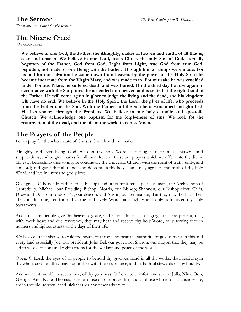*The people are seated for the sermon*

#### **The Nicene Creed**

*The people stand*

**We believe in one God, the Father, the Almighty, maker of heaven and earth, of all that is, seen and unseen. We believe in one Lord, Jesus Christ, the only Son of God, eternally begotten of the Father, God from God, Light from Light, true God from true God, begotten, not made, of one Being with the Father. Through him all things were made. For us and for our salvation he came down from heaven: by the power of the Holy Spirit he became incarnate from the Virgin Mary, and was made man. For our sake he was crucified under Pontius Pilate; he suffered death and was buried. On the third day he rose again in accordance with the Scriptures; he ascended into heaven and is seated at the right hand of the Father. He will come again in glory to judge the living and the dead, and his kingdom will have no end. We believe in the Holy Spirit, the Lord, the giver of life, who proceeds from the Father and the Son. With the Father and the Son he is worshiped and glorified. He has spoken through the Prophets. We believe in one holy catholic and apostolic Church. We acknowledge one baptism for the forgiveness of sins. We look for the resurrection of the dead, and the life of the world to come. Amen.**

#### **The Prayers of the People**

Let us pray for the whole state of Christ's Church and the world.

Almighty and ever living God, who in thy holy Word hast taught us to make prayers, and supplications, and to give thanks for all men: Receive these our prayers which we offer unto thy divine Majesty, beseeching thee to inspire continually the Universal Church with the spirit of truth, unity, and concord; and grant that all those who do confess thy holy Name may agree in the truth of thy holy Word, and live in unity and godly love.

Give grace, O heavenly Father, to all bishops and other ministers especially Justin, the Archbishop of Canterbury, Michael, our Presiding Bishop; Morris, our Bishop; Shannon, our Bishop-elect; Chris, Drew and Don, our priests; Pat, our deacon; and Austin, our seminarian, that they may, both by their life and doctrine, set forth thy true and lively Word, and rightly and duly administer thy holy Sacraments.

And to all thy people give thy heavenly grace, and especially to this congregation here present; that, with meek heart and due reverence, they may hear and receive thy holy Word, truly serving thee in holiness and righteousness all the days of their life.

We beseech thee also so to rule the hearts of those who bear the authority of government in this and every land especially Joe, our president; John Bel, our governor; Sharon, our mayor, that they may be led to wise decisions and right actions for the welfare and peace of the world.

Open, O Lord, the eyes of all people to behold thy gracious hand in all thy works, that, rejoicing in thy whole creation, they may honor thee with their substance, and be faithful stewards of thy bounty.

And we most humbly beseech thee, of thy goodness, O Lord, to comfort and succor Julia, Nina, Don, Georgia, Ann, Katie, Thomas, Fannie, those on our prayer list, and all those who in this transitory life, are in trouble, sorrow, need, sickness, or any other adversity.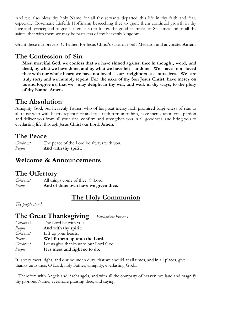And we also bless thy holy Name for all thy servants departed this life in thy faith and fear, especially, Rosemarie Liefeith Hoffmann beseeching thee to grant them continual growth in thy love and service; and to grant us grace so to follow the good examples of St. James and of all thy saints, that with them we may be partakers of thy heavenly kingdom.

Grant these our prayers, O Father, for Jesus Christ's sake, our only Mediator and advocate. **Amen.**

### **The Confession of Sin**

**Most merciful God, we confess that we have sinned against thee in thought, word, and deed, by what we have done, and by what we have left undone. We have not loved thee with our whole heart; we have not loved our neighbors as ourselves. We are truly sorry and we humbly repent. For the sake of thy Son Jesus Christ, have mercy on us and forgive us; that we may delight in thy will, and walk in thy ways, to the glory of thy Name. Amen.**

## **The Absolution**

Almighty God, our heavenly Father, who of his great mercy hath promised forgiveness of sins to all those who with hearty repentance and true faith turn unto him, have mercy upon you, pardon and deliver you from all your sins, confirm and strengthen you in all goodness, and bring you to everlasting life; through Jesus Christ our Lord. **Amen.**

#### **The Peace**

*Celebrant* The peace of the Lord be always with you. *People* **And with thy spirit.**

#### **Welcome & Announcements**

#### **The Offertory**

*Celebrant* All things come of thee, O Lord. *People* **And of thine own have we given thee.**

#### **The Holy Communion**

*The people stand*

# **The Great Thanksgiving** *Eucharistic Prayer I*

| Celebrant | The Lord be with you.                 |
|-----------|---------------------------------------|
| People    | And with thy spirit.                  |
| Celebrant | Lift up your hearts.                  |
| People    | We lift them up unto the Lord.        |
| Celebrant | Let us give thanks unto our Lord God. |
| People    | It is meet and right so to do.        |

It is very meet, right, and our bounden duty, that we should at all times, and in all places, give thanks unto thee, O Lord, holy Father, almighty, everlasting God...

...Therefore with Angels and Archangels, and with all the company of heaven, we laud and magnify thy glorious Name; evermore praising thee, and saying,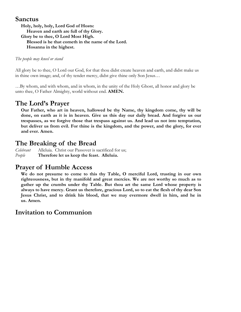#### **Sanctus**

**Holy, holy, holy, Lord God of Hosts: Heaven and earth are full of thy Glory. Glory be to thee, O Lord Most High. Blessed is he that cometh in the name of the Lord. Hosanna in the highest.**

#### *The people may kneel or stand*

All glory be to thee, O Lord our God, for that thou didst create heaven and earth, and didst make us in thine own image; and, of thy tender mercy, didst give thine only Son Jesus…

…By whom, and with whom, and in whom, in the unity of the Holy Ghost, all honor and glory be unto thee, O Father Almighty, world without end. **AMEN.**

#### **The Lord's Prayer**

**Our Father, who art in heaven, hallowed be thy Name, thy kingdom come, thy will be done, on earth as it is in heaven. Give us this day our daily bread. And forgive us our trespasses, as we forgive those that trespass against us. And lead us not into temptation, but deliver us from evil. For thine is the kingdom, and the power, and the glory, for ever and ever. Amen.** 

#### **The Breaking of the Bread**

*Celebrant* Alleluia. Christ our Passover is sacrificed for us; *People* **Therefore let us keep the feast. Alleluia.**

#### **Prayer of Humble Access**

**We do not presume to come to this thy Table, O merciful Lord, trusting in our own righteousness, but in thy manifold and great mercies. We are not worthy so much as to gather up the crumbs under thy Table. But thou art the same Lord whose property is always to have mercy. Grant us therefore, gracious Lord, so to eat the flesh of thy dear Son Jesus Christ, and to drink his blood, that we may evermore dwell in him, and he in us. Amen.**

#### **Invitation to Communion**